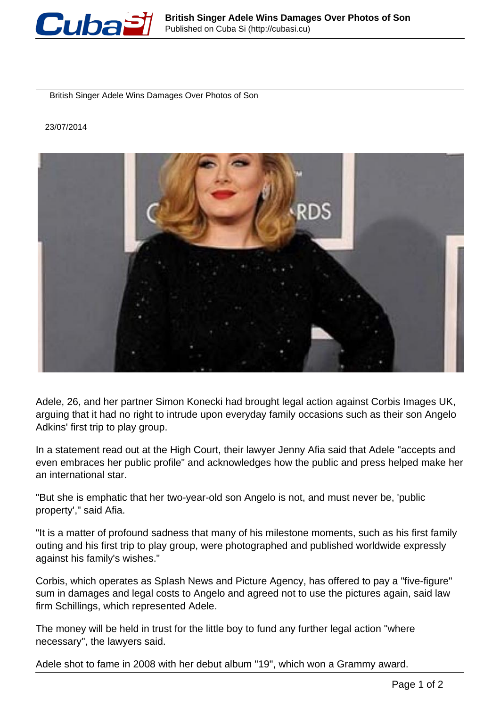

British Singer Adele Wins Damages Over Photos of Son

## 23/07/2014



Adele, 26, and her partner Simon Konecki had brought legal action against Corbis Images UK, arguing that it had no right to intrude upon everyday family occasions such as their son Angelo Adkins' first trip to play group.

In a statement read out at the High Court, their lawyer Jenny Afia said that Adele "accepts and even embraces her public profile" and acknowledges how the public and press helped make her an international star.

"But she is emphatic that her two-year-old son Angelo is not, and must never be, 'public property'," said Afia.

"It is a matter of profound sadness that many of his milestone moments, such as his first family outing and his first trip to play group, were photographed and published worldwide expressly against his family's wishes."

Corbis, which operates as Splash News and Picture Agency, has offered to pay a "five-figure" sum in damages and legal costs to Angelo and agreed not to use the pictures again, said law firm Schillings, which represented Adele.

The money will be held in trust for the little boy to fund any further legal action "where necessary", the lawyers said.

Adele shot to fame in 2008 with her debut album "19", which won a Grammy award.